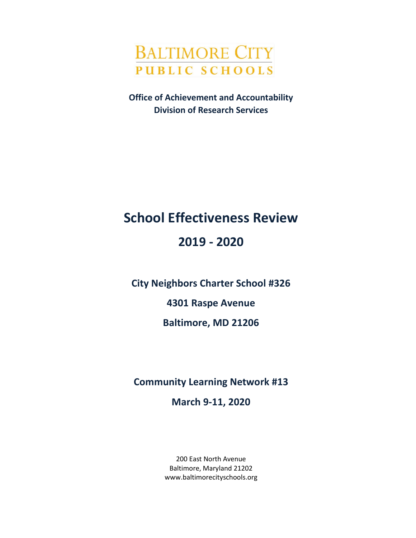

**Office of Achievement and Accountability Division of Research Services**

# **School Effectiveness Review**

## **2019 - 2020**

**City Neighbors Charter School #326**

**4301 Raspe Avenue**

**Baltimore, MD 21206**

**Community Learning Network #13**

**March 9-11, 2020**

200 East North Avenue Baltimore, Maryland 21202 www.baltimorecityschools.org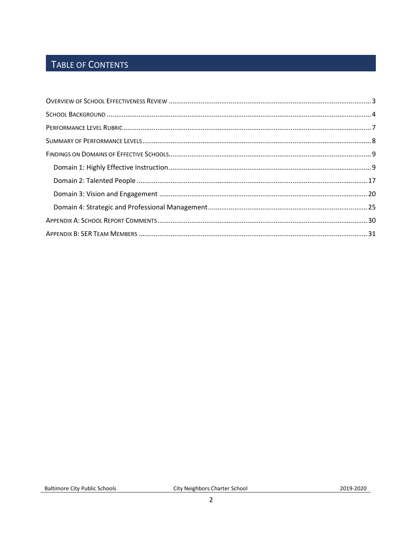## TABLE OF CONTENTS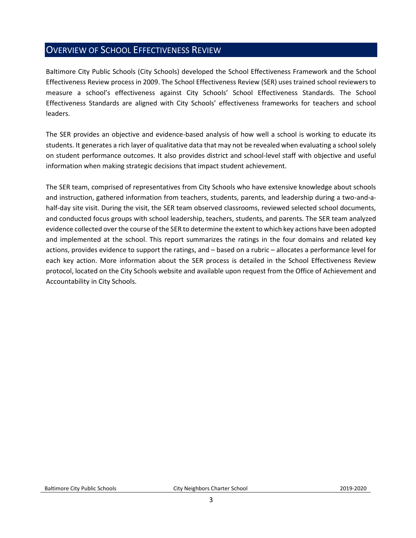### <span id="page-2-0"></span>OVERVIEW OF SCHOOL EFFECTIVENESS REVIEW

Baltimore City Public Schools (City Schools) developed the School Effectiveness Framework and the School Effectiveness Review process in 2009. The School Effectiveness Review (SER) uses trained school reviewers to measure a school's effectiveness against City Schools' School Effectiveness Standards. The School Effectiveness Standards are aligned with City Schools' effectiveness frameworks for teachers and school leaders.

The SER provides an objective and evidence-based analysis of how well a school is working to educate its students. It generates a rich layer of qualitative data that may not be revealed when evaluating a school solely on student performance outcomes. It also provides district and school-level staff with objective and useful information when making strategic decisions that impact student achievement.

The SER team, comprised of representatives from City Schools who have extensive knowledge about schools and instruction, gathered information from teachers, students, parents, and leadership during a two-and-ahalf-day site visit. During the visit, the SER team observed classrooms, reviewed selected school documents, and conducted focus groups with school leadership, teachers, students, and parents. The SER team analyzed evidence collected over the course of the SER to determine the extent to which key actions have been adopted and implemented at the school. This report summarizes the ratings in the four domains and related key actions, provides evidence to support the ratings, and – based on a rubric – allocates a performance level for each key action. More information about the SER process is detailed in the School Effectiveness Review protocol, located on the City Schools website and available upon request from the Office of Achievement and Accountability in City Schools.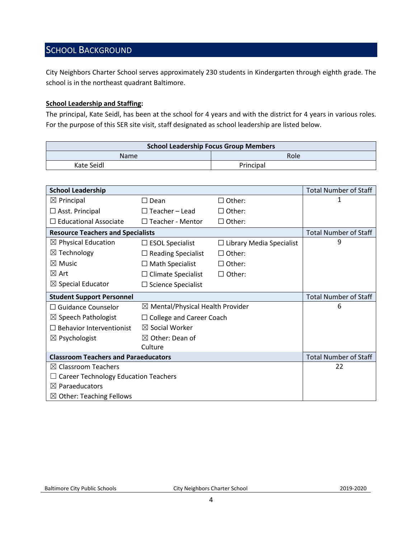## <span id="page-3-0"></span>SCHOOL BACKGROUND

City Neighbors Charter School serves approximately 230 students in Kindergarten through eighth grade. The school is in the northeast quadrant Baltimore.

#### **School Leadership and Staffing:**

The principal, Kate Seidl, has been at the school for 4 years and with the district for 4 years in various roles. For the purpose of this SER site visit, staff designated as school leadership are listed below.

| <b>School Leadership Focus Group Members</b> |           |  |  |
|----------------------------------------------|-----------|--|--|
| Name                                         | Role      |  |  |
| Kate Seidl                                   | Principal |  |  |

| <b>School Leadership</b>                    |                                             |                                 | <b>Total Number of Staff</b> |
|---------------------------------------------|---------------------------------------------|---------------------------------|------------------------------|
| $\boxtimes$ Principal                       | $\square$ Dean                              | $\Box$ Other:                   | 1                            |
| $\square$ Asst. Principal                   | $\Box$ Teacher - Lead                       | $\Box$ Other:                   |                              |
| $\Box$ Educational Associate                | $\Box$ Teacher - Mentor                     | $\Box$ Other:                   |                              |
| <b>Resource Teachers and Specialists</b>    |                                             |                                 | <b>Total Number of Staff</b> |
| $\boxtimes$ Physical Education              | $\Box$ ESOL Specialist                      | $\Box$ Library Media Specialist | 9                            |
| $\boxtimes$ Technology                      | $\Box$ Reading Specialist                   | $\Box$ Other:                   |                              |
| $\boxtimes$ Music                           | $\Box$ Math Specialist                      | $\Box$ Other:                   |                              |
| $\boxtimes$ Art                             | $\Box$ Climate Specialist                   | $\Box$ Other:                   |                              |
| $\boxtimes$ Special Educator                | $\Box$ Science Specialist                   |                                 |                              |
| <b>Student Support Personnel</b>            |                                             |                                 | <b>Total Number of Staff</b> |
| $\Box$ Guidance Counselor                   | $\boxtimes$ Mental/Physical Health Provider |                                 | 6                            |
| $\boxtimes$ Speech Pathologist              | $\Box$ College and Career Coach             |                                 |                              |
| $\Box$ Behavior Interventionist             | $\boxtimes$ Social Worker                   |                                 |                              |
| $\boxtimes$ Psychologist                    | $\boxtimes$ Other: Dean of                  |                                 |                              |
|                                             | Culture                                     |                                 |                              |
| <b>Classroom Teachers and Paraeducators</b> |                                             |                                 | <b>Total Number of Staff</b> |
| $\boxtimes$ Classroom Teachers              |                                             |                                 | 22                           |
| <b>Career Technology Education Teachers</b> |                                             |                                 |                              |
| $\boxtimes$ Paraeducators                   |                                             |                                 |                              |
| $\boxtimes$ Other: Teaching Fellows         |                                             |                                 |                              |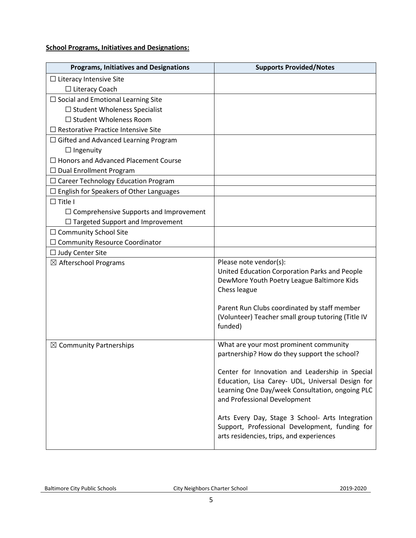#### **School Programs, Initiatives and Designations:**

| <b>Programs, Initiatives and Designations</b>  | <b>Supports Provided/Notes</b>                                                                                                                                                         |
|------------------------------------------------|----------------------------------------------------------------------------------------------------------------------------------------------------------------------------------------|
| $\Box$ Literacy Intensive Site                 |                                                                                                                                                                                        |
| $\Box$ Literacy Coach                          |                                                                                                                                                                                        |
| $\Box$ Social and Emotional Learning Site      |                                                                                                                                                                                        |
| $\Box$ Student Wholeness Specialist            |                                                                                                                                                                                        |
| $\Box$ Student Wholeness Room                  |                                                                                                                                                                                        |
| $\Box$ Restorative Practice Intensive Site     |                                                                                                                                                                                        |
| $\Box$ Gifted and Advanced Learning Program    |                                                                                                                                                                                        |
| $\Box$ Ingenuity                               |                                                                                                                                                                                        |
| $\Box$ Honors and Advanced Placement Course    |                                                                                                                                                                                        |
| $\Box$ Dual Enrollment Program                 |                                                                                                                                                                                        |
| $\Box$ Career Technology Education Program     |                                                                                                                                                                                        |
| $\Box$ English for Speakers of Other Languages |                                                                                                                                                                                        |
| $\Box$ Title I                                 |                                                                                                                                                                                        |
| $\Box$ Comprehensive Supports and Improvement  |                                                                                                                                                                                        |
| $\Box$ Targeted Support and Improvement        |                                                                                                                                                                                        |
| □ Community School Site                        |                                                                                                                                                                                        |
| $\Box$ Community Resource Coordinator          |                                                                                                                                                                                        |
| $\Box$ Judy Center Site                        |                                                                                                                                                                                        |
| $\boxtimes$ Afterschool Programs               | Please note vendor(s):<br>United Education Corporation Parks and People<br>DewMore Youth Poetry League Baltimore Kids<br>Chess league                                                  |
|                                                | Parent Run Clubs coordinated by staff member<br>(Volunteer) Teacher small group tutoring (Title IV<br>funded)                                                                          |
| $\boxtimes$ Community Partnerships             | What are your most prominent community<br>partnership? How do they support the school?                                                                                                 |
|                                                | Center for Innovation and Leadership in Special<br>Education, Lisa Carey- UDL, Universal Design for<br>Learning One Day/week Consultation, ongoing PLC<br>and Professional Development |
|                                                | Arts Every Day, Stage 3 School- Arts Integration<br>Support, Professional Development, funding for<br>arts residencies, trips, and experiences                                         |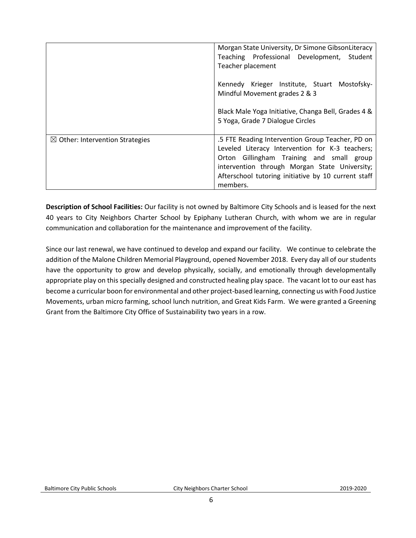|                                            | Morgan State University, Dr Simone GibsonLiteracy<br>Teaching Professional Development, Student<br>Teacher placement                                                                                                                                                 |
|--------------------------------------------|----------------------------------------------------------------------------------------------------------------------------------------------------------------------------------------------------------------------------------------------------------------------|
|                                            | Kennedy Krieger Institute, Stuart Mostofsky-<br>Mindful Movement grades 2 & 3                                                                                                                                                                                        |
|                                            | Black Male Yoga Initiative, Changa Bell, Grades 4 &<br>5 Yoga, Grade 7 Dialogue Circles                                                                                                                                                                              |
| $\boxtimes$ Other: Intervention Strategies | .5 FTE Reading Intervention Group Teacher, PD on<br>Leveled Literacy Intervention for K-3 teachers;<br>Orton Gillingham Training and small group<br>intervention through Morgan State University;<br>Afterschool tutoring initiative by 10 current staff<br>members. |

**Description of School Facilities:** Our facility is not owned by Baltimore City Schools and is leased for the next 40 years to City Neighbors Charter School by Epiphany Lutheran Church, with whom we are in regular communication and collaboration for the maintenance and improvement of the facility.

Since our last renewal, we have continued to develop and expand our facility. We continue to celebrate the addition of the Malone Children Memorial Playground, opened November 2018. Every day all of our students have the opportunity to grow and develop physically, socially, and emotionally through developmentally appropriate play on this specially designed and constructed healing play space. The vacant lot to our east has become a curricular boon for environmental and other project-based learning, connecting us with Food Justice Movements, urban micro farming, school lunch nutrition, and Great Kids Farm. We were granted a Greening Grant from the Baltimore City Office of Sustainability two years in a row.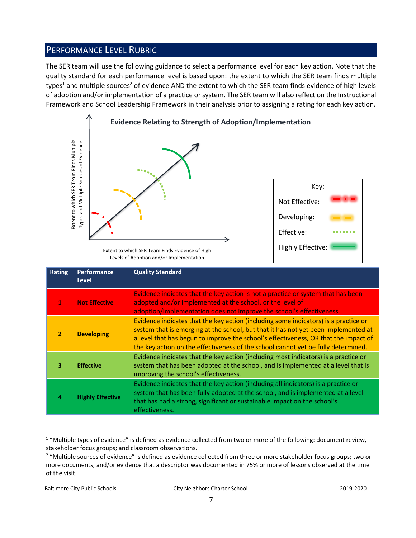### <span id="page-6-0"></span>PERFORMANCE LEVEL RUBRIC

The SER team will use the following guidance to select a performance level for each key action. Note that the quality standard for each performance level is based upon: the extent to which the SER team finds multiple types<sup>1</sup> and multiple sources<sup>2</sup> of evidence AND the extent to which the SER team finds evidence of high levels of adoption and/or implementation of a practice or system. The SER team will also reflect on the Instructional Framework and School Leadership Framework in their analysis prior to assigning a rating for each key action.



Levels of Adoption and/or Implementation

|                | Extent to which SER Team Finds Multiple<br>Types and Multiple Sources of Evidence                                                                                                                                                                                                                                                                                          | Extent to which SER Team Finds Evidence of High<br>Levels of Adoption and/or Implementation                                                                                                                                                                                                                                                                                                                                                    | Key:<br>Not Effective:<br>Developing:<br>Effective:<br><b>Highly Effective:</b> |
|----------------|----------------------------------------------------------------------------------------------------------------------------------------------------------------------------------------------------------------------------------------------------------------------------------------------------------------------------------------------------------------------------|------------------------------------------------------------------------------------------------------------------------------------------------------------------------------------------------------------------------------------------------------------------------------------------------------------------------------------------------------------------------------------------------------------------------------------------------|---------------------------------------------------------------------------------|
| <b>Rating</b>  | Performance<br><b>Level</b>                                                                                                                                                                                                                                                                                                                                                | <b>Quality Standard</b>                                                                                                                                                                                                                                                                                                                                                                                                                        |                                                                                 |
| 1              | <b>Not Effective</b>                                                                                                                                                                                                                                                                                                                                                       | Evidence indicates that the key action is not a practice or system that has been<br>adopted and/or implemented at the school, or the level of<br>adoption/implementation does not improve the school's effectiveness.                                                                                                                                                                                                                          |                                                                                 |
| $\overline{2}$ | Evidence indicates that the key action (including some indicators) is a practice or<br>system that is emerging at the school, but that it has not yet been implemented at<br><b>Developing</b><br>a level that has begun to improve the school's effectiveness, OR that the impact of<br>the key action on the effectiveness of the school cannot yet be fully determined. |                                                                                                                                                                                                                                                                                                                                                                                                                                                |                                                                                 |
| 3              | <b>Effective</b>                                                                                                                                                                                                                                                                                                                                                           | Evidence indicates that the key action (including most indicators) is a practice or<br>system that has been adopted at the school, and is implemented at a level that is<br>improving the school's effectiveness.                                                                                                                                                                                                                              |                                                                                 |
| 4              | <b>Highly Effective</b>                                                                                                                                                                                                                                                                                                                                                    | Evidence indicates that the key action (including all indicators) is a practice or<br>system that has been fully adopted at the school, and is implemented at a level<br>that has had a strong, significant or sustainable impact on the school's<br>effectiveness.                                                                                                                                                                            |                                                                                 |
| of the visit.  |                                                                                                                                                                                                                                                                                                                                                                            | <sup>1</sup> "Multiple types of evidence" is defined as evidence collected from two or more of the following: document review,<br>stakeholder focus groups; and classroom observations.<br><sup>2</sup> "Multiple sources of evidence" is defined as evidence collected from three or more stakeholder focus groups; two or<br>more documents; and/or evidence that a descriptor was documented in 75% or more of lessons observed at the time |                                                                                 |

 $\overline{a}$  $1$  "Multiple types of evidence" is defined as evidence collected from two or more of the following: document review, stakeholder focus groups; and classroom observations.

<sup>&</sup>lt;sup>2</sup> "Multiple sources of evidence" is defined as evidence collected from three or more stakeholder focus groups; two or more documents; and/or evidence that a descriptor was documented in 75% or more of lessons observed at the time of the visit.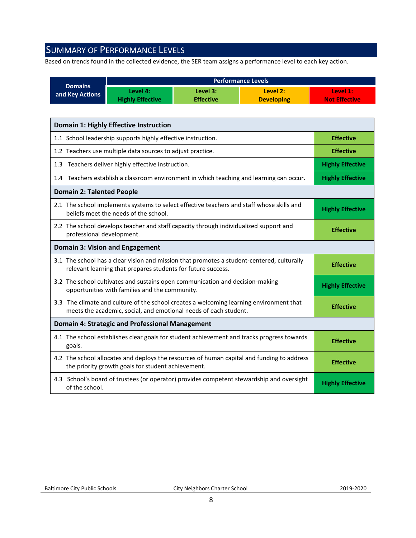## <span id="page-7-0"></span>SUMMARY OF PERFORMANCE LEVELS

Based on trends found in the collected evidence, the SER team assigns a performance level to each key action.

| <b>Domains</b>                                                                                                                                             |                                                                                                                                                             |                              | <b>Performance Levels</b>                                                                  |                                  |  |
|------------------------------------------------------------------------------------------------------------------------------------------------------------|-------------------------------------------------------------------------------------------------------------------------------------------------------------|------------------------------|--------------------------------------------------------------------------------------------|----------------------------------|--|
| and Key Actions                                                                                                                                            | Level 4:<br><b>Highly Effective</b>                                                                                                                         | Level 3:<br><b>Effective</b> | Level 2:<br><b>Developing</b>                                                              | Level 1:<br><b>Not Effective</b> |  |
|                                                                                                                                                            |                                                                                                                                                             |                              |                                                                                            |                                  |  |
|                                                                                                                                                            | <b>Domain 1: Highly Effective Instruction</b>                                                                                                               |                              |                                                                                            |                                  |  |
|                                                                                                                                                            | 1.1 School leadership supports highly effective instruction.                                                                                                |                              |                                                                                            | <b>Effective</b>                 |  |
|                                                                                                                                                            | 1.2 Teachers use multiple data sources to adjust practice.                                                                                                  |                              |                                                                                            | <b>Effective</b>                 |  |
|                                                                                                                                                            | 1.3 Teachers deliver highly effective instruction.                                                                                                          |                              |                                                                                            | <b>Highly Effective</b>          |  |
|                                                                                                                                                            | 1.4 Teachers establish a classroom environment in which teaching and learning can occur.                                                                    |                              |                                                                                            | <b>Highly Effective</b>          |  |
| <b>Domain 2: Talented People</b>                                                                                                                           |                                                                                                                                                             |                              |                                                                                            |                                  |  |
|                                                                                                                                                            | 2.1 The school implements systems to select effective teachers and staff whose skills and<br>beliefs meet the needs of the school.                          |                              |                                                                                            | <b>Highly Effective</b>          |  |
| 2.2 The school develops teacher and staff capacity through individualized support and<br>professional development.                                         |                                                                                                                                                             |                              |                                                                                            | <b>Effective</b>                 |  |
|                                                                                                                                                            | <b>Domain 3: Vision and Engagement</b>                                                                                                                      |                              |                                                                                            |                                  |  |
| 3.1 The school has a clear vision and mission that promotes a student-centered, culturally<br>relevant learning that prepares students for future success. |                                                                                                                                                             |                              | <b>Effective</b>                                                                           |                                  |  |
| 3.2 The school cultivates and sustains open communication and decision-making<br>opportunities with families and the community.                            |                                                                                                                                                             | <b>Highly Effective</b>      |                                                                                            |                                  |  |
|                                                                                                                                                            | 3.3 The climate and culture of the school creates a welcoming learning environment that<br>meets the academic, social, and emotional needs of each student. |                              | <b>Effective</b>                                                                           |                                  |  |
| <b>Domain 4: Strategic and Professional Management</b>                                                                                                     |                                                                                                                                                             |                              |                                                                                            |                                  |  |
| goals.                                                                                                                                                     |                                                                                                                                                             |                              | 4.1 The school establishes clear goals for student achievement and tracks progress towards | <b>Effective</b>                 |  |
|                                                                                                                                                            | 4.2 The school allocates and deploys the resources of human capital and funding to address<br>the priority growth goals for student achievement.            |                              |                                                                                            | <b>Effective</b>                 |  |
| of the school.                                                                                                                                             |                                                                                                                                                             |                              | 4.3 School's board of trustees (or operator) provides competent stewardship and oversight  | <b>Highly Effective</b>          |  |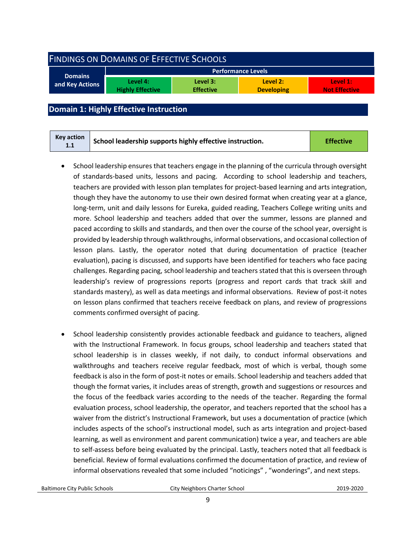<span id="page-8-0"></span>

| <b>FINDINGS ON DOMAINS OF EFFECTIVE SCHOOLS</b> |                                     |                              |                               |                                  |  |
|-------------------------------------------------|-------------------------------------|------------------------------|-------------------------------|----------------------------------|--|
|                                                 |                                     |                              | Performance Levels            |                                  |  |
| <b>Domains</b><br>and Key Actions               | Level 4:<br><b>Highly Effective</b> | Level 3:<br><b>Effective</b> | Level 2:<br><b>Developing</b> | Level 1:<br><b>Not Effective</b> |  |
|                                                 |                                     |                              |                               |                                  |  |

#### <span id="page-8-1"></span>**Domain 1: Highly Effective Instruction**

| Key action<br>1.1 | School leadership supports highly effective instruction. | <b>Effective</b> |
|-------------------|----------------------------------------------------------|------------------|
|-------------------|----------------------------------------------------------|------------------|

- School leadership ensures that teachers engage in the planning of the curricula through oversight of standards-based units, lessons and pacing. According to school leadership and teachers, teachers are provided with lesson plan templates for project-based learning and arts integration, though they have the autonomy to use their own desired format when creating year at a glance, long-term, unit and daily lessons for Eureka, guided reading, Teachers College writing units and more. School leadership and teachers added that over the summer, lessons are planned and paced according to skills and standards, and then over the course of the school year, oversight is provided by leadership through walkthroughs, informal observations, and occasional collection of lesson plans. Lastly, the operator noted that during documentation of practice (teacher evaluation), pacing is discussed, and supports have been identified for teachers who face pacing challenges. Regarding pacing, school leadership and teachers stated that this is overseen through leadership's review of progressions reports (progress and report cards that track skill and standards mastery), as well as data meetings and informal observations. Review of post-it notes on lesson plans confirmed that teachers receive feedback on plans, and review of progressions comments confirmed oversight of pacing.
- School leadership consistently provides actionable feedback and guidance to teachers, aligned with the Instructional Framework. In focus groups, school leadership and teachers stated that school leadership is in classes weekly, if not daily, to conduct informal observations and walkthroughs and teachers receive regular feedback, most of which is verbal, though some feedback is also in the form of post-it notes or emails. School leadership and teachers added that though the format varies, it includes areas of strength, growth and suggestions or resources and the focus of the feedback varies according to the needs of the teacher. Regarding the formal evaluation process, school leadership, the operator, and teachers reported that the school has a waiver from the district's Instructional Framework, but uses a documentation of practice (which includes aspects of the school's instructional model, such as arts integration and project-based learning, as well as environment and parent communication) twice a year, and teachers are able to self-assess before being evaluated by the principal. Lastly, teachers noted that all feedback is beneficial. Review of formal evaluations confirmed the documentation of practice, and review of informal observations revealed that some included "noticings" , "wonderings", and next steps.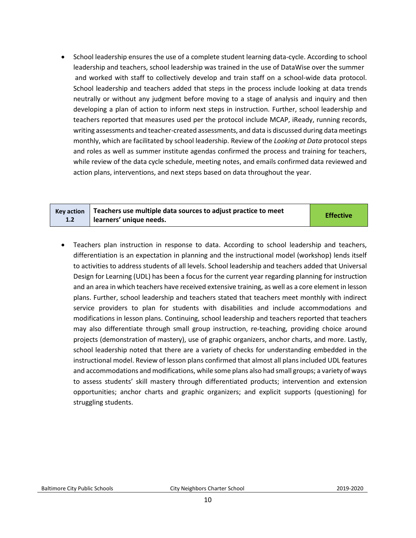• School leadership ensures the use of a complete student learning data-cycle. According to school leadership and teachers, school leadership was trained in the use of DataWise over the summer and worked with staff to collectively develop and train staff on a school-wide data protocol. School leadership and teachers added that steps in the process include looking at data trends neutrally or without any judgment before moving to a stage of analysis and inquiry and then developing a plan of action to inform next steps in instruction. Further, school leadership and teachers reported that measures used per the protocol include MCAP, iReady, running records, writing assessments and teacher-created assessments, and data is discussed during data meetings monthly, which are facilitated by school leadership. Review of the *Looking at Data* protocol steps and roles as well as summer institute agendas confirmed the process and training for teachers, while review of the data cycle schedule, meeting notes, and emails confirmed data reviewed and action plans, interventions, and next steps based on data throughout the year.

|     | Key action $\vert$ Teachers use multiple data sources to adjust practice to meet | <b>Effective</b> |
|-----|----------------------------------------------------------------------------------|------------------|
| 1.2 | learners' unique needs.                                                          |                  |

• Teachers plan instruction in response to data. According to school leadership and teachers, differentiation is an expectation in planning and the instructional model (workshop) lends itself to activities to address students of all levels. School leadership and teachers added that Universal Design for Learning (UDL) has been a focus for the current year regarding planning for instruction and an area in which teachers have received extensive training, as well as a core element in lesson plans. Further, school leadership and teachers stated that teachers meet monthly with indirect service providers to plan for students with disabilities and include accommodations and modifications in lesson plans. Continuing, school leadership and teachers reported that teachers may also differentiate through small group instruction, re-teaching, providing choice around projects (demonstration of mastery), use of graphic organizers, anchor charts, and more. Lastly, school leadership noted that there are a variety of checks for understanding embedded in the instructional model. Review of lesson plans confirmed that almost all plans included UDL features and accommodations and modifications, while some plans also had small groups; a variety of ways to assess students' skill mastery through differentiated products; intervention and extension opportunities; anchor charts and graphic organizers; and explicit supports (questioning) for struggling students.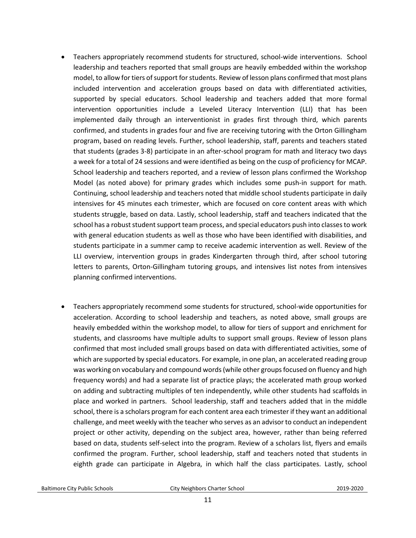- Teachers appropriately recommend students for structured, school-wide interventions. School leadership and teachers reported that small groups are heavily embedded within the workshop model, to allow for tiers of support for students. Review of lesson plans confirmed that most plans included intervention and acceleration groups based on data with differentiated activities, supported by special educators. School leadership and teachers added that more formal intervention opportunities include a Leveled Literacy Intervention (LLI) that has been implemented daily through an interventionist in grades first through third, which parents confirmed, and students in grades four and five are receiving tutoring with the Orton Gillingham program, based on reading levels. Further, school leadership, staff, parents and teachers stated that students (grades 3-8) participate in an after-school program for math and literacy two days a week for a total of 24 sessions and were identified as being on the cusp of proficiency for MCAP. School leadership and teachers reported, and a review of lesson plans confirmed the Workshop Model (as noted above) for primary grades which includes some push-in support for math. Continuing, school leadership and teachers noted that middle school students participate in daily intensives for 45 minutes each trimester, which are focused on core content areas with which students struggle, based on data. Lastly, school leadership, staff and teachers indicated that the school has a robust student support team process, and special educators push into classes to work with general education students as well as those who have been identified with disabilities, and students participate in a summer camp to receive academic intervention as well. Review of the LLI overview, intervention groups in grades Kindergarten through third, after school tutoring letters to parents, Orton-Gillingham tutoring groups, and intensives list notes from intensives planning confirmed interventions.
- Teachers appropriately recommend some students for structured, school-wide opportunities for acceleration. According to school leadership and teachers, as noted above, small groups are heavily embedded within the workshop model, to allow for tiers of support and enrichment for students, and classrooms have multiple adults to support small groups. Review of lesson plans confirmed that most included small groups based on data with differentiated activities, some of which are supported by special educators. For example, in one plan, an accelerated reading group was working on vocabulary and compound words (while other groups focused on fluency and high frequency words) and had a separate list of practice plays; the accelerated math group worked on adding and subtracting multiples of ten independently, while other students had scaffolds in place and worked in partners. School leadership, staff and teachers added that in the middle school, there is a scholars program for each content area each trimester if they want an additional challenge, and meet weekly with the teacher who serves as an advisor to conduct an independent project or other activity, depending on the subject area, however, rather than being referred based on data, students self-select into the program. Review of a scholars list, flyers and emails confirmed the program. Further, school leadership, staff and teachers noted that students in eighth grade can participate in Algebra, in which half the class participates. Lastly, school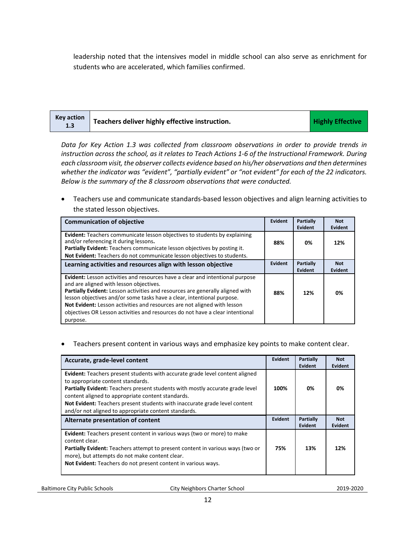leadership noted that the intensives model in middle school can also serve as enrichment for students who are accelerated, which families confirmed.

| <b>Key action</b><br>1.3 | Teachers deliver highly effective instruction. | <b>Highly Effective</b> |
|--------------------------|------------------------------------------------|-------------------------|
|--------------------------|------------------------------------------------|-------------------------|

*Data for Key Action 1.3 was collected from classroom observations in order to provide trends in instruction across the school, as it relates to Teach Actions 1-6 of the Instructional Framework. During each classroom visit, the observer collects evidence based on his/her observations and then determines whether the indicator was "evident", "partially evident" or "not evident" for each of the 22 indicators. Below is the summary of the 8 classroom observations that were conducted.* 

• Teachers use and communicate standards-based lesson objectives and align learning activities to the stated lesson objectives.

| <b>Communication of objective</b>                                                                                                                                                                                                                                                                                                                                                                                                                                   | Evident | Partially<br>Evident | <b>Not</b><br>Evident |
|---------------------------------------------------------------------------------------------------------------------------------------------------------------------------------------------------------------------------------------------------------------------------------------------------------------------------------------------------------------------------------------------------------------------------------------------------------------------|---------|----------------------|-----------------------|
| <b>Evident:</b> Teachers communicate lesson objectives to students by explaining<br>and/or referencing it during lessons.<br>Partially Evident: Teachers communicate lesson objectives by posting it.<br>Not Evident: Teachers do not communicate lesson objectives to students.                                                                                                                                                                                    | 88%     | 0%                   | 12%                   |
| Learning activities and resources align with lesson objective                                                                                                                                                                                                                                                                                                                                                                                                       | Evident | Partially<br>Evident | <b>Not</b><br>Evident |
| <b>Evident:</b> Lesson activities and resources have a clear and intentional purpose<br>and are aligned with lesson objectives.<br>Partially Evident: Lesson activities and resources are generally aligned with<br>lesson objectives and/or some tasks have a clear, intentional purpose.<br>Not Evident: Lesson activities and resources are not aligned with lesson<br>objectives OR Lesson activities and resources do not have a clear intentional<br>purpose. | 88%     | 12%                  | 0%                    |

#### • Teachers present content in various ways and emphasize key points to make content clear.

| Accurate, grade-level content                                                                                                                                                                                                                                                                                                                                                                        | <b>Evident</b> | <b>Partially</b><br>Evident        | <b>Not</b><br>Evident        |
|------------------------------------------------------------------------------------------------------------------------------------------------------------------------------------------------------------------------------------------------------------------------------------------------------------------------------------------------------------------------------------------------------|----------------|------------------------------------|------------------------------|
| <b>Evident:</b> Teachers present students with accurate grade level content aligned<br>to appropriate content standards.<br>Partially Evident: Teachers present students with mostly accurate grade level<br>content aligned to appropriate content standards.<br>Not Evident: Teachers present students with inaccurate grade level content<br>and/or not aligned to appropriate content standards. | 100%           | 0%                                 | 0%                           |
| Alternate presentation of content                                                                                                                                                                                                                                                                                                                                                                    | <b>Evident</b> | <b>Partially</b><br><b>Evident</b> | <b>Not</b><br><b>Evident</b> |
| <b>Evident:</b> Teachers present content in various ways (two or more) to make<br>content clear.<br>Partially Evident: Teachers attempt to present content in various ways (two or<br>more), but attempts do not make content clear.<br>Not Evident: Teachers do not present content in various ways.                                                                                                | 75%            | 13%                                | 12%                          |

Baltimore City Public Schools City Neighbors Charter School2019-2020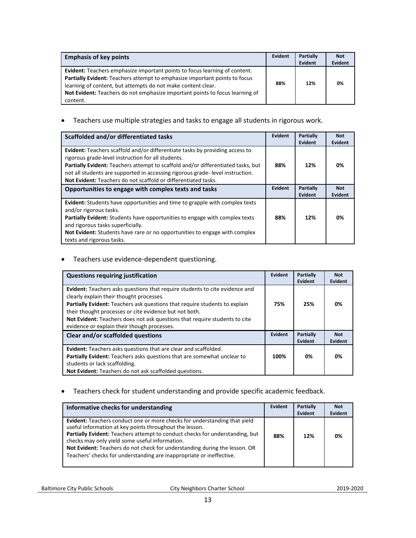| <b>Emphasis of key points</b>                                                                                                                                                                                                                                                                                        | Evident | <b>Partially</b><br>Evident | <b>Not</b><br>Evident |
|----------------------------------------------------------------------------------------------------------------------------------------------------------------------------------------------------------------------------------------------------------------------------------------------------------------------|---------|-----------------------------|-----------------------|
| Evident: Teachers emphasize important points to focus learning of content.<br>Partially Evident: Teachers attempt to emphasize important points to focus<br>learning of content, but attempts do not make content clear.<br>Not Evident: Teachers do not emphasize important points to focus learning of<br>content. | 88%     | 12%                         | 0%                    |

• Teachers use multiple strategies and tasks to engage all students in rigorous work.

| Scaffolded and/or differentiated tasks                                                                                                                                                                                                                                                                                                                                           | Evident | <b>Partially</b><br>Evident | <b>Not</b><br>Evident        |
|----------------------------------------------------------------------------------------------------------------------------------------------------------------------------------------------------------------------------------------------------------------------------------------------------------------------------------------------------------------------------------|---------|-----------------------------|------------------------------|
| <b>Evident:</b> Teachers scaffold and/or differentiate tasks by providing access to<br>rigorous grade-level instruction for all students.<br>Partially Evident: Teachers attempt to scaffold and/or differentiated tasks, but<br>not all students are supported in accessing rigorous grade-level instruction.<br>Not Evident: Teachers do not scaffold or differentiated tasks. | 88%     | 12%                         | 0%                           |
| Opportunities to engage with complex texts and tasks                                                                                                                                                                                                                                                                                                                             | Evident | Partially<br>Evident        | <b>Not</b><br><b>Evident</b> |
| <b>Evident:</b> Students have opportunities and time to grapple with complex texts<br>and/or rigorous tasks.<br><b>Partially Evident:</b> Students have opportunities to engage with complex texts<br>and rigorous tasks superficially.<br><b>Not Evident:</b> Students have rare or no opportunities to engage with complex<br>texts and rigorous tasks.                        | 88%     | 12%                         | 0%                           |

#### • Teachers use evidence-dependent questioning.

| <b>Questions requiring justification</b>                                                                                                                                                                                                                                                                                                                                                     | Evident | Partially<br>Evident | <b>Not</b><br>Evident |
|----------------------------------------------------------------------------------------------------------------------------------------------------------------------------------------------------------------------------------------------------------------------------------------------------------------------------------------------------------------------------------------------|---------|----------------------|-----------------------|
| Evident: Teachers asks questions that require students to cite evidence and<br>clearly explain their thought processes.<br>Partially Evident: Teachers ask questions that require students to explain<br>their thought processes or cite evidence but not both.<br>Not Evident: Teachers does not ask questions that require students to cite<br>evidence or explain their though processes. | 75%     | 25%                  | 0%                    |
| Clear and/or scaffolded questions                                                                                                                                                                                                                                                                                                                                                            | Evident | Partially<br>Evident | <b>Not</b><br>Evident |
| <b>Evident:</b> Teachers asks questions that are clear and scaffolded.<br>Partially Evident: Teachers asks questions that are somewhat unclear to<br>students or lack scaffolding.                                                                                                                                                                                                           | 100%    | 0%                   | 0%                    |
| Not Evident: Teachers do not ask scaffolded questions.                                                                                                                                                                                                                                                                                                                                       |         |                      |                       |

#### • Teachers check for student understanding and provide specific academic feedback.

| Informative checks for understanding                                                                                                                                                                                                                                                                                                                                                                                                | Evident | Partially<br>Evident | <b>Not</b><br>Evident |
|-------------------------------------------------------------------------------------------------------------------------------------------------------------------------------------------------------------------------------------------------------------------------------------------------------------------------------------------------------------------------------------------------------------------------------------|---------|----------------------|-----------------------|
| <b>Evident:</b> Teachers conduct one or more checks for understanding that yield<br>useful information at key points throughout the lesson.<br>Partially Evident: Teachers attempt to conduct checks for understanding, but<br>checks may only yield some useful information.<br>Not Evident: Teachers do not check for understanding during the lesson. OR<br>Teachers' checks for understanding are inappropriate or ineffective. | 88%     | 12%                  | 0%                    |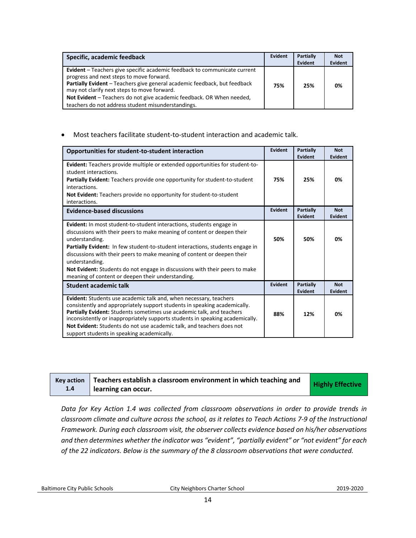| Specific, academic feedback                                                                                                                                                                                                                                                                                                                                                             | Evident | Partially<br>Evident | <b>Not</b><br>Evident |
|-----------------------------------------------------------------------------------------------------------------------------------------------------------------------------------------------------------------------------------------------------------------------------------------------------------------------------------------------------------------------------------------|---------|----------------------|-----------------------|
| <b>Evident</b> – Teachers give specific academic feedback to communicate current<br>progress and next steps to move forward.<br>Partially Evident - Teachers give general academic feedback, but feedback<br>may not clarify next steps to move forward.<br>Not Evident – Teachers do not give academic feedback. OR When needed,<br>teachers do not address student misunderstandings. | 75%     | 25%                  | 0%                    |

#### • Most teachers facilitate student-to-student interaction and academic talk.

| Opportunities for student-to-student interaction                                                                                                                                                                                                                                                                                                                                                                                                                                           | <b>Evident</b> | Partially<br>Evident | <b>Not</b><br><b>Evident</b> |
|--------------------------------------------------------------------------------------------------------------------------------------------------------------------------------------------------------------------------------------------------------------------------------------------------------------------------------------------------------------------------------------------------------------------------------------------------------------------------------------------|----------------|----------------------|------------------------------|
| <b>Evident:</b> Teachers provide multiple or extended opportunities for student-to-<br>student interactions.<br>Partially Evident: Teachers provide one opportunity for student-to-student<br>interactions.<br><b>Not Evident:</b> Teachers provide no opportunity for student-to-student<br>interactions.                                                                                                                                                                                 | 75%            | 25%                  | 0%                           |
| <b>Evidence-based discussions</b>                                                                                                                                                                                                                                                                                                                                                                                                                                                          | <b>Evident</b> | Partially<br>Evident | <b>Not</b><br><b>Evident</b> |
| <b>Evident:</b> In most student-to-student interactions, students engage in<br>discussions with their peers to make meaning of content or deepen their<br>understanding.<br>Partially Evident: In few student-to-student interactions, students engage in<br>discussions with their peers to make meaning of content or deepen their<br>understanding.<br>Not Evident: Students do not engage in discussions with their peers to make<br>meaning of content or deepen their understanding. | 50%            | 50%                  | 0%                           |
| <b>Student academic talk</b>                                                                                                                                                                                                                                                                                                                                                                                                                                                               | <b>Evident</b> | Partially<br>Evident | <b>Not</b><br><b>Evident</b> |
| Evident: Students use academic talk and, when necessary, teachers<br>consistently and appropriately support students in speaking academically.<br>Partially Evident: Students sometimes use academic talk, and teachers<br>inconsistently or inappropriately supports students in speaking academically.<br>Not Evident: Students do not use academic talk, and teachers does not<br>support students in speaking academically.                                                            | 88%            | 12%                  | 0%                           |

| <b>Key action</b> | Teachers establish a classroom environment in which teaching and | <b>Highly Effective</b> |
|-------------------|------------------------------------------------------------------|-------------------------|
| 1.4               | learning can occur.                                              |                         |

*Data for Key Action 1.4 was collected from classroom observations in order to provide trends in classroom climate and culture across the school, as it relates to Teach Actions 7-9 of the Instructional Framework. During each classroom visit, the observer collects evidence based on his/her observations and then determines whether the indicator was "evident", "partially evident" or "not evident" for each of the 22 indicators. Below is the summary of the 8 classroom observations that were conducted.* 

Baltimore City Public Schools City Neighbors Charter School2019-2020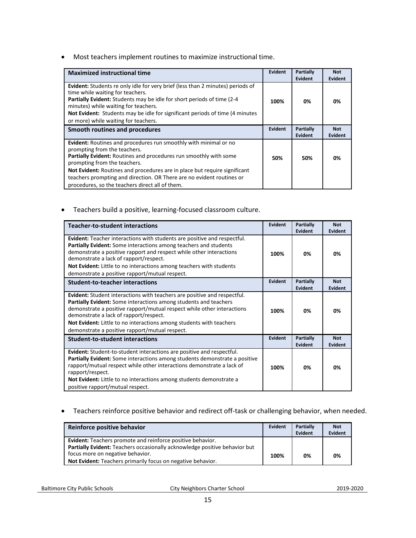• Most teachers implement routines to maximize instructional time.

| <b>Maximized instructional time</b>                                                                                                                                                                                                                                                                                                                                                                                   | Evident        | <b>Partially</b><br>Evident | <b>Not</b><br>Evident |
|-----------------------------------------------------------------------------------------------------------------------------------------------------------------------------------------------------------------------------------------------------------------------------------------------------------------------------------------------------------------------------------------------------------------------|----------------|-----------------------------|-----------------------|
| <b>Evident:</b> Students re only idle for very brief (less than 2 minutes) periods of<br>time while waiting for teachers.<br><b>Partially Evident:</b> Students may be idle for short periods of time (2-4)<br>minutes) while waiting for teachers.<br><b>Not Evident:</b> Students may be idle for significant periods of time (4 minutes)<br>or more) while waiting for teachers.                                   | 100%           | 0%                          | 0%                    |
| Smooth routines and procedures                                                                                                                                                                                                                                                                                                                                                                                        | <b>Evident</b> | <b>Partially</b><br>Evident | <b>Not</b><br>Evident |
| <b>Evident:</b> Routines and procedures run smoothly with minimal or no<br>prompting from the teachers.<br>Partially Evident: Routines and procedures run smoothly with some<br>prompting from the teachers.<br>Not Evident: Routines and procedures are in place but require significant<br>teachers prompting and direction. OR There are no evident routines or<br>procedures, so the teachers direct all of them. | 50%            | 50%                         | 0%                    |

• Teachers build a positive, learning-focused classroom culture.

| <b>Teacher-to-student interactions</b>                                                                                                                                                                                                                                                                                                                                                           | Evident | Partially<br>Evident        | <b>Not</b><br><b>Evident</b> |
|--------------------------------------------------------------------------------------------------------------------------------------------------------------------------------------------------------------------------------------------------------------------------------------------------------------------------------------------------------------------------------------------------|---------|-----------------------------|------------------------------|
| Evident: Teacher interactions with students are positive and respectful.<br>Partially Evident: Some interactions among teachers and students<br>demonstrate a positive rapport and respect while other interactions<br>demonstrate a lack of rapport/respect.<br>Not Evident: Little to no interactions among teachers with students<br>demonstrate a positive rapport/mutual respect.           | 100%    | 0%                          | 0%                           |
| <b>Student-to-teacher interactions</b>                                                                                                                                                                                                                                                                                                                                                           | Evident | <b>Partially</b><br>Evident | <b>Not</b><br>Evident        |
| <b>Evident:</b> Student interactions with teachers are positive and respectful.<br>Partially Evident: Some interactions among students and teachers<br>demonstrate a positive rapport/mutual respect while other interactions<br>demonstrate a lack of rapport/respect.<br>Not Evident: Little to no interactions among students with teachers<br>demonstrate a positive rapport/mutual respect. | 100%    | 0%                          | 0%                           |
| <b>Student-to-student interactions</b>                                                                                                                                                                                                                                                                                                                                                           | Evident | <b>Partially</b><br>Evident | <b>Not</b><br>Evident        |
| Evident: Student-to-student interactions are positive and respectful.<br><b>Partially Evident:</b> Some interactions among students demonstrate a positive<br>rapport/mutual respect while other interactions demonstrate a lack of<br>rapport/respect.<br>Not Evident: Little to no interactions among students demonstrate a<br>positive rapport/mutual respect.                               | 100%    | 0%                          | 0%                           |

• Teachers reinforce positive behavior and redirect off-task or challenging behavior, when needed.

| Reinforce positive behavior                                                | Evident | <b>Partially</b><br>Evident | <b>Not</b><br>Evident |
|----------------------------------------------------------------------------|---------|-----------------------------|-----------------------|
| <b>Evident:</b> Teachers promote and reinforce positive behavior.          |         |                             |                       |
| Partially Evident: Teachers occasionally acknowledge positive behavior but |         |                             |                       |
| focus more on negative behavior.                                           | 100%    | 0%                          | 0%                    |
| Not Evident: Teachers primarily focus on negative behavior.                |         |                             |                       |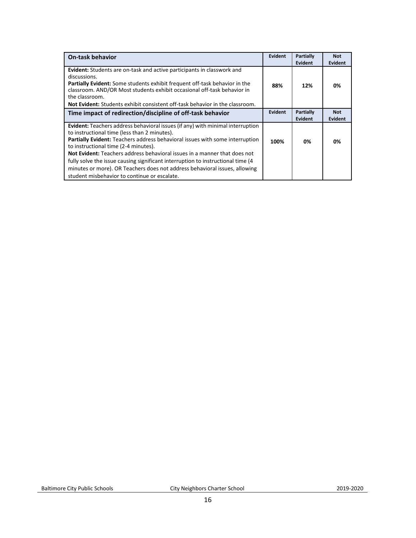| <b>On-task behavior</b>                                                                                                                                                                                                                                                                                                                                                                                                               | <b>Evident</b> | Partially<br>Evident | <b>Not</b><br><b>Evident</b> |
|---------------------------------------------------------------------------------------------------------------------------------------------------------------------------------------------------------------------------------------------------------------------------------------------------------------------------------------------------------------------------------------------------------------------------------------|----------------|----------------------|------------------------------|
| <b>Evident:</b> Students are on-task and active participants in classwork and<br>discussions.<br><b>Partially Evident:</b> Some students exhibit frequent off-task behavior in the<br>classroom. AND/OR Most students exhibit occasional off-task behavior in<br>the classroom.<br><b>Not Evident:</b> Students exhibit consistent off-task behavior in the classroom.                                                                | 88%            | 12%                  | 0%                           |
| Time impact of redirection/discipline of off-task behavior                                                                                                                                                                                                                                                                                                                                                                            | Evident        | Partially            | <b>Not</b>                   |
|                                                                                                                                                                                                                                                                                                                                                                                                                                       |                | <b>Evident</b>       | <b>Evident</b>               |
| <b>Evident:</b> Teachers address behavioral issues (if any) with minimal interruption<br>to instructional time (less than 2 minutes).<br>Partially Evident: Teachers address behavioral issues with some interruption<br>to instructional time (2-4 minutes).<br><b>Not Evident:</b> Teachers address behavioral issues in a manner that does not<br>fully solve the issue causing significant interruption to instructional time (4) | 100%           | 0%                   | 0%                           |
| minutes or more). OR Teachers does not address behavioral issues, allowing<br>student misbehavior to continue or escalate.                                                                                                                                                                                                                                                                                                            |                |                      |                              |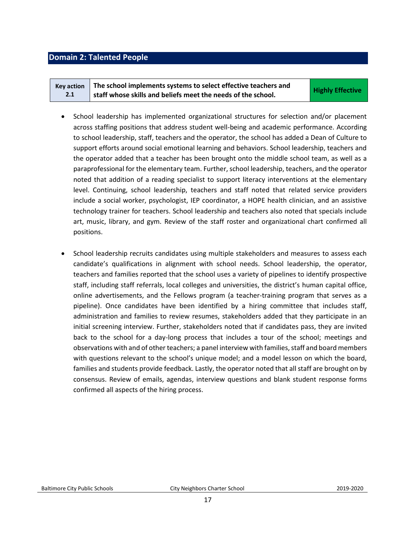#### <span id="page-16-0"></span>**Domain 2: Talented People**

| <b>Kev action</b> | The school implements systems to select effective teachers and | <b>Highly Effective</b> |
|-------------------|----------------------------------------------------------------|-------------------------|
| 2.1               | staff whose skills and beliefs meet the needs of the school.   |                         |

- School leadership has implemented organizational structures for selection and/or placement across staffing positions that address student well-being and academic performance. According to school leadership, staff, teachers and the operator, the school has added a Dean of Culture to support efforts around social emotional learning and behaviors. School leadership, teachers and the operator added that a teacher has been brought onto the middle school team, as well as a paraprofessional for the elementary team. Further, school leadership, teachers, and the operator noted that addition of a reading specialist to support literacy interventions at the elementary level. Continuing, school leadership, teachers and staff noted that related service providers include a social worker, psychologist, IEP coordinator, a HOPE health clinician, and an assistive technology trainer for teachers. School leadership and teachers also noted that specials include art, music, library, and gym. Review of the staff roster and organizational chart confirmed all positions.
- School leadership recruits candidates using multiple stakeholders and measures to assess each candidate's qualifications in alignment with school needs. School leadership, the operator, teachers and families reported that the school uses a variety of pipelines to identify prospective staff, including staff referrals, local colleges and universities, the district's human capital office, online advertisements, and the Fellows program (a teacher-training program that serves as a pipeline). Once candidates have been identified by a hiring committee that includes staff, administration and families to review resumes, stakeholders added that they participate in an initial screening interview. Further, stakeholders noted that if candidates pass, they are invited back to the school for a day-long process that includes a tour of the school; meetings and observations with and of other teachers; a panel interview with families, staff and board members with questions relevant to the school's unique model; and a model lesson on which the board, families and students provide feedback. Lastly, the operator noted that all staff are brought on by consensus. Review of emails, agendas, interview questions and blank student response forms confirmed all aspects of the hiring process.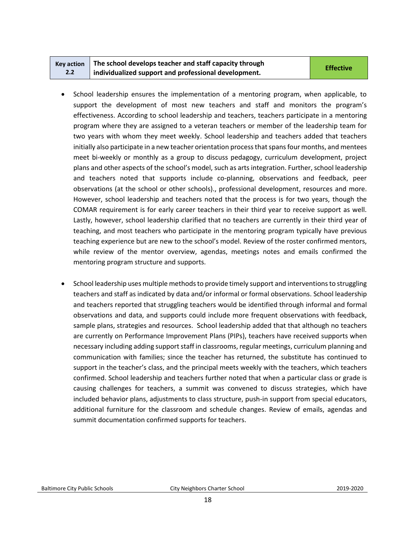|     | Key action $\parallel$ The school develops teacher and staff capacity through | <b>Effective</b> |
|-----|-------------------------------------------------------------------------------|------------------|
| 2.2 | individualized support and professional development.                          |                  |

- School leadership ensures the implementation of a mentoring program, when applicable, to support the development of most new teachers and staff and monitors the program's effectiveness. According to school leadership and teachers, teachers participate in a mentoring program where they are assigned to a veteran teachers or member of the leadership team for two years with whom they meet weekly. School leadership and teachers added that teachers initially also participate in a new teacher orientation process that spans four months, and mentees meet bi-weekly or monthly as a group to discuss pedagogy, curriculum development, project plans and other aspects of the school's model, such as arts integration. Further, school leadership and teachers noted that supports include co-planning, observations and feedback, peer observations (at the school or other schools)., professional development, resources and more. However, school leadership and teachers noted that the process is for two years, though the COMAR requirement is for early career teachers in their third year to receive support as well. Lastly, however, school leadership clarified that no teachers are currently in their third year of teaching, and most teachers who participate in the mentoring program typically have previous teaching experience but are new to the school's model. Review of the roster confirmed mentors, while review of the mentor overview, agendas, meetings notes and emails confirmed the mentoring program structure and supports.
- School leadership uses multiple methods to provide timely support and interventions to struggling teachers and staff as indicated by data and/or informal or formal observations. School leadership and teachers reported that struggling teachers would be identified through informal and formal observations and data, and supports could include more frequent observations with feedback, sample plans, strategies and resources. School leadership added that that although no teachers are currently on Performance Improvement Plans (PIPs), teachers have received supports when necessary including adding support staff in classrooms, regular meetings, curriculum planning and communication with families; since the teacher has returned, the substitute has continued to support in the teacher's class, and the principal meets weekly with the teachers, which teachers confirmed. School leadership and teachers further noted that when a particular class or grade is causing challenges for teachers, a summit was convened to discuss strategies, which have included behavior plans, adjustments to class structure, push-in support from special educators, additional furniture for the classroom and schedule changes. Review of emails, agendas and summit documentation confirmed supports for teachers.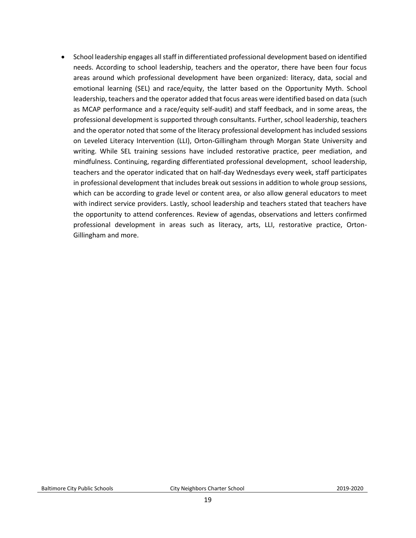• School leadership engages all staff in differentiated professional development based on identified needs. According to school leadership, teachers and the operator, there have been four focus areas around which professional development have been organized: literacy, data, social and emotional learning (SEL) and race/equity, the latter based on the Opportunity Myth. School leadership, teachers and the operator added that focus areas were identified based on data (such as MCAP performance and a race/equity self-audit) and staff feedback, and in some areas, the professional development is supported through consultants. Further, school leadership, teachers and the operator noted that some of the literacy professional development has included sessions on Leveled Literacy Intervention (LLI), Orton-Gillingham through Morgan State University and writing. While SEL training sessions have included restorative practice, peer mediation, and mindfulness. Continuing, regarding differentiated professional development, school leadership, teachers and the operator indicated that on half-day Wednesdays every week, staff participates in professional development that includes break out sessions in addition to whole group sessions, which can be according to grade level or content area, or also allow general educators to meet with indirect service providers. Lastly, school leadership and teachers stated that teachers have the opportunity to attend conferences. Review of agendas, observations and letters confirmed professional development in areas such as literacy, arts, LLI, restorative practice, Orton-Gillingham and more.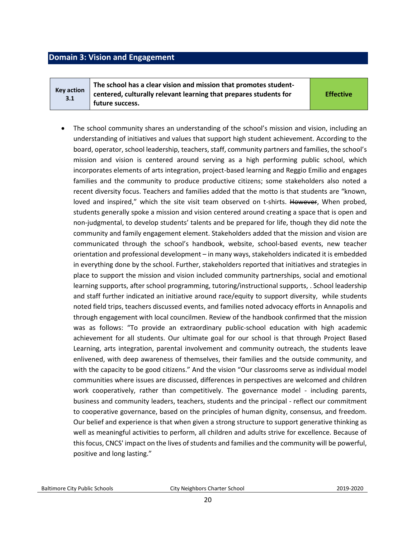#### <span id="page-19-0"></span>**Domain 3: Vision and Engagement**

**Key action 3.1**

**The school has a clear vision and mission that promotes studentcentered, culturally relevant learning that prepares students for future success.** 

**Effective**

The school community shares an understanding of the school's mission and vision, including an understanding of initiatives and values that support high student achievement. According to the board, operator, school leadership, teachers, staff, community partners and families, the school's mission and vision is centered around serving as a high performing public school, which incorporates elements of arts integration, project-based learning and Reggio Emilio and engages families and the community to produce productive citizens; some stakeholders also noted a recent diversity focus. Teachers and families added that the motto is that students are "known, loved and inspired," which the site visit team observed on t-shirts. However, When probed, students generally spoke a mission and vision centered around creating a space that is open and non-judgmental, to develop students' talents and be prepared for life, though they did note the community and family engagement element. Stakeholders added that the mission and vision are communicated through the school's handbook, website, school-based events, new teacher orientation and professional development – in many ways, stakeholders indicated it is embedded in everything done by the school. Further, stakeholders reported that initiatives and strategies in place to support the mission and vision included community partnerships, social and emotional learning supports, after school programming, tutoring/instructional supports, . School leadership and staff further indicated an initiative around race/equity to support diversity, while students noted field trips, teachers discussed events, and families noted advocacy efforts in Annapolis and through engagement with local councilmen. Review of the handbook confirmed that the mission was as follows: "To provide an extraordinary public-school education with high academic achievement for all students. Our ultimate goal for our school is that through Project Based Learning, arts integration, parental involvement and community outreach, the students leave enlivened, with deep awareness of themselves, their families and the outside community, and with the capacity to be good citizens." And the vision "Our classrooms serve as individual model communities where issues are discussed, differences in perspectives are welcomed and children work cooperatively, rather than competitively. The governance model - including parents, business and community leaders, teachers, students and the principal - reflect our commitment to cooperative governance, based on the principles of human dignity, consensus, and freedom. Our belief and experience is that when given a strong structure to support generative thinking as well as meaningful activities to perform, all children and adults strive for excellence. Because of this focus, CNCS' impact on the lives of students and families and the community will be powerful, positive and long lasting."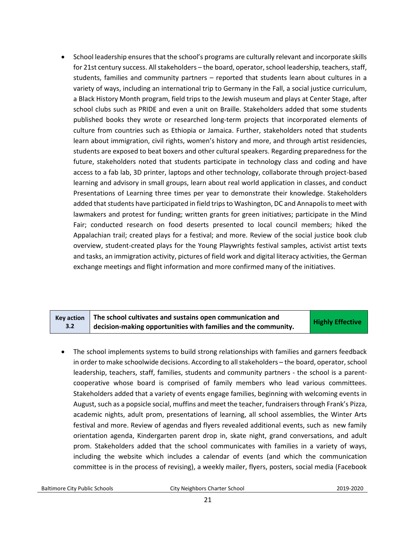• School leadership ensures that the school's programs are culturally relevant and incorporate skills for 21st century success. All stakeholders – the board, operator, school leadership, teachers, staff, students, families and community partners – reported that students learn about cultures in a variety of ways, including an international trip to Germany in the Fall, a social justice curriculum, a Black History Month program, field trips to the Jewish museum and plays at Center Stage, after school clubs such as PRIDE and even a unit on Braille. Stakeholders added that some students published books they wrote or researched long-term projects that incorporated elements of culture from countries such as Ethiopia or Jamaica. Further, stakeholders noted that students learn about immigration, civil rights, women's history and more, and through artist residencies, students are exposed to beat boxers and other cultural speakers. Regarding preparedness for the future, stakeholders noted that students participate in technology class and coding and have access to a fab lab, 3D printer, laptops and other technology, collaborate through project-based learning and advisory in small groups, learn about real world application in classes, and conduct Presentations of Learning three times per year to demonstrate their knowledge. Stakeholders added that students have participated in field trips to Washington, DC and Annapolis to meet with lawmakers and protest for funding; written grants for green initiatives; participate in the Mind Fair; conducted research on food deserts presented to local council members; hiked the Appalachian trail; created plays for a festival; and more. Review of the social justice book club overview, student-created plays for the Young Playwrights festival samples, activist artist texts and tasks, an immigration activity, pictures of field work and digital literacy activities, the German exchange meetings and flight information and more confirmed many of the initiatives.

|     | Key action $\parallel$ The school cultivates and sustains open communication and | <b>Highly Effective</b> |
|-----|----------------------------------------------------------------------------------|-------------------------|
| 3.2 | decision-making opportunities with families and the community.                   |                         |

• The school implements systems to build strong relationships with families and garners feedback in order to make schoolwide decisions. According to all stakeholders – the board, operator, school leadership, teachers, staff, families, students and community partners - the school is a parentcooperative whose board is comprised of family members who lead various committees. Stakeholders added that a variety of events engage families, beginning with welcoming events in August, such as a popsicle social, muffins and meet the teacher, fundraisers through Frank's Pizza, academic nights, adult prom, presentations of learning, all school assemblies, the Winter Arts festival and more. Review of agendas and flyers revealed additional events, such as new family orientation agenda, Kindergarten parent drop in, skate night, grand conversations, and adult prom. Stakeholders added that the school communicates with families in a variety of ways, including the website which includes a calendar of events (and which the communication committee is in the process of revising), a weekly mailer, flyers, posters, social media (Facebook

Baltimore City Public Schools City Neighbors Charter School2019-2020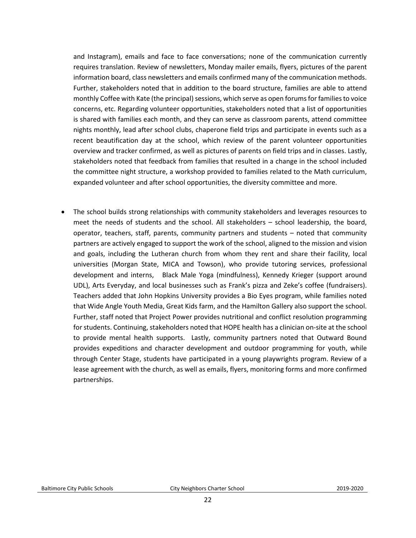and Instagram), emails and face to face conversations; none of the communication currently requires translation. Review of newsletters, Monday mailer emails, flyers, pictures of the parent information board, class newsletters and emails confirmed many of the communication methods. Further, stakeholders noted that in addition to the board structure, families are able to attend monthly Coffee with Kate (the principal) sessions, which serve as open forums for families to voice concerns, etc. Regarding volunteer opportunities, stakeholders noted that a list of opportunities is shared with families each month, and they can serve as classroom parents, attend committee nights monthly, lead after school clubs, chaperone field trips and participate in events such as a recent beautification day at the school, which review of the parent volunteer opportunities overview and tracker confirmed, as well as pictures of parents on field trips and in classes. Lastly, stakeholders noted that feedback from families that resulted in a change in the school included the committee night structure, a workshop provided to families related to the Math curriculum, expanded volunteer and after school opportunities, the diversity committee and more.

• The school builds strong relationships with community stakeholders and leverages resources to meet the needs of students and the school. All stakeholders – school leadership, the board, operator, teachers, staff, parents, community partners and students – noted that community partners are actively engaged to support the work of the school, aligned to the mission and vision and goals, including the Lutheran church from whom they rent and share their facility, local universities (Morgan State, MICA and Towson), who provide tutoring services, professional development and interns, Black Male Yoga (mindfulness), Kennedy Krieger (support around UDL), Arts Everyday, and local businesses such as Frank's pizza and Zeke's coffee (fundraisers). Teachers added that John Hopkins University provides a Bio Eyes program, while families noted that Wide Angle Youth Media, Great Kids farm, and the Hamilton Gallery also support the school. Further, staff noted that Project Power provides nutritional and conflict resolution programming for students. Continuing, stakeholders noted that HOPE health has a clinician on-site at the school to provide mental health supports. Lastly, community partners noted that Outward Bound provides expeditions and character development and outdoor programming for youth, while through Center Stage, students have participated in a young playwrights program. Review of a lease agreement with the church, as well as emails, flyers, monitoring forms and more confirmed partnerships.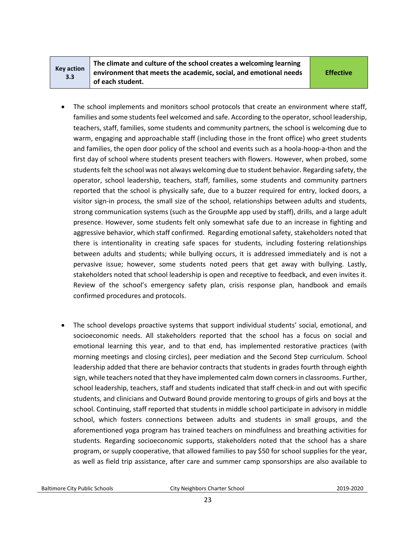| Key action |
|------------|
| 3.3        |

**The climate and culture of the school creates a welcoming learning environment that meets the academic, social, and emotional needs of each student.** 

**Effective**

- The school implements and monitors school protocols that create an environment where staff, families and some students feel welcomed and safe. According to the operator, school leadership, teachers, staff, families, some students and community partners, the school is welcoming due to warm, engaging and approachable staff (including those in the front office) who greet students and families, the open door policy of the school and events such as a hoola-hoop-a-thon and the first day of school where students present teachers with flowers. However, when probed, some students felt the school was not always welcoming due to student behavior. Regarding safety, the operator, school leadership, teachers, staff, families, some students and community partners reported that the school is physically safe, due to a buzzer required for entry, locked doors, a visitor sign-in process, the small size of the school, relationships between adults and students, strong communication systems (such as the GroupMe app used by staff), drills, and a large adult presence. However, some students felt only somewhat safe due to an increase in fighting and aggressive behavior, which staff confirmed. Regarding emotional safety, stakeholders noted that there is intentionality in creating safe spaces for students, including fostering relationships between adults and students; while bullying occurs, it is addressed immediately and is not a pervasive issue; however, some students noted peers that get away with bullying. Lastly, stakeholders noted that school leadership is open and receptive to feedback, and even invites it. Review of the school's emergency safety plan, crisis response plan, handbook and emails confirmed procedures and protocols.
- The school develops proactive systems that support individual students' social, emotional, and socioeconomic needs. All stakeholders reported that the school has a focus on social and emotional learning this year, and to that end, has implemented restorative practices (with morning meetings and closing circles), peer mediation and the Second Step curriculum. School leadership added that there are behavior contracts that students in grades fourth through eighth sign, while teachers noted that they have implemented calm down corners in classrooms. Further, school leadership, teachers, staff and students indicated that staff check-in and out with specific students, and clinicians and Outward Bound provide mentoring to groups of girls and boys at the school. Continuing, staff reported that students in middle school participate in advisory in middle school, which fosters connections between adults and students in small groups, and the aforementioned yoga program has trained teachers on mindfulness and breathing activities for students. Regarding socioeconomic supports, stakeholders noted that the school has a share program, or supply cooperative, that allowed families to pay \$50 for school supplies for the year, as well as field trip assistance, after care and summer camp sponsorships are also available to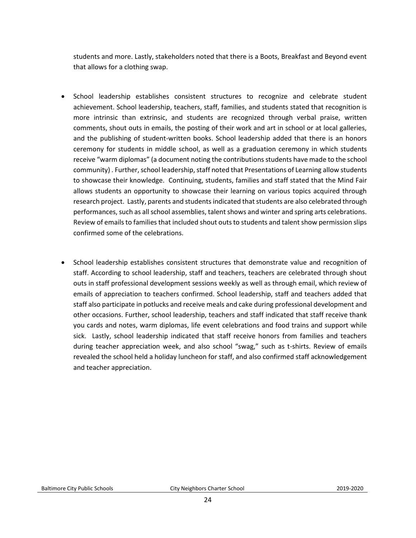students and more. Lastly, stakeholders noted that there is a Boots, Breakfast and Beyond event that allows for a clothing swap.

- School leadership establishes consistent structures to recognize and celebrate student achievement. School leadership, teachers, staff, families, and students stated that recognition is more intrinsic than extrinsic, and students are recognized through verbal praise, written comments, shout outs in emails, the posting of their work and art in school or at local galleries, and the publishing of student-written books. School leadership added that there is an honors ceremony for students in middle school, as well as a graduation ceremony in which students receive "warm diplomas" (a document noting the contributions students have made to the school community) . Further, school leadership, staff noted that Presentations of Learning allow students to showcase their knowledge. Continuing, students, families and staff stated that the Mind Fair allows students an opportunity to showcase their learning on various topics acquired through research project. Lastly, parents and students indicated that students are also celebrated through performances, such as all school assemblies, talent shows and winter and spring arts celebrations. Review of emails to families that included shout outs to students and talent show permission slips confirmed some of the celebrations.
- School leadership establishes consistent structures that demonstrate value and recognition of staff. According to school leadership, staff and teachers, teachers are celebrated through shout outs in staff professional development sessions weekly as well as through email, which review of emails of appreciation to teachers confirmed. School leadership, staff and teachers added that staff also participate in potlucks and receive meals and cake during professional development and other occasions. Further, school leadership, teachers and staff indicated that staff receive thank you cards and notes, warm diplomas, life event celebrations and food trains and support while sick. Lastly, school leadership indicated that staff receive honors from families and teachers during teacher appreciation week, and also school "swag," such as t-shirts. Review of emails revealed the school held a holiday luncheon for staff, and also confirmed staff acknowledgement and teacher appreciation.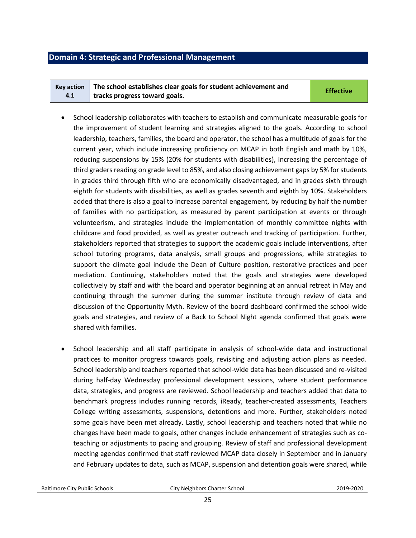#### <span id="page-24-0"></span>**Domain 4: Strategic and Professional Management**

| Key action $\parallel$ The school establishes clear goals for student achievement and | <b>Effective</b> |
|---------------------------------------------------------------------------------------|------------------|
| tracks progress toward goals.                                                         |                  |

- School leadership collaborates with teachers to establish and communicate measurable goals for the improvement of student learning and strategies aligned to the goals. According to school leadership, teachers, families, the board and operator, the school has a multitude of goals for the current year, which include increasing proficiency on MCAP in both English and math by 10%, reducing suspensions by 15% (20% for students with disabilities), increasing the percentage of third graders reading on grade level to 85%, and also closing achievement gaps by 5% for students in grades third through fifth who are economically disadvantaged, and in grades sixth through eighth for students with disabilities, as well as grades seventh and eighth by 10%. Stakeholders added that there is also a goal to increase parental engagement, by reducing by half the number of families with no participation, as measured by parent participation at events or through volunteerism, and strategies include the implementation of monthly committee nights with childcare and food provided, as well as greater outreach and tracking of participation. Further, stakeholders reported that strategies to support the academic goals include interventions, after school tutoring programs, data analysis, small groups and progressions, while strategies to support the climate goal include the Dean of Culture position, restorative practices and peer mediation. Continuing, stakeholders noted that the goals and strategies were developed collectively by staff and with the board and operator beginning at an annual retreat in May and continuing through the summer during the summer institute through review of data and discussion of the Opportunity Myth. Review of the board dashboard confirmed the school-wide goals and strategies, and review of a Back to School Night agenda confirmed that goals were shared with families.
- School leadership and all staff participate in analysis of school-wide data and instructional practices to monitor progress towards goals, revisiting and adjusting action plans as needed. School leadership and teachers reported that school-wide data has been discussed and re-visited during half-day Wednesday professional development sessions, where student performance data, strategies, and progress are reviewed. School leadership and teachers added that data to benchmark progress includes running records, iReady, teacher-created assessments, Teachers College writing assessments, suspensions, detentions and more. Further, stakeholders noted some goals have been met already. Lastly, school leadership and teachers noted that while no changes have been made to goals, other changes include enhancement of strategies such as coteaching or adjustments to pacing and grouping. Review of staff and professional development meeting agendas confirmed that staff reviewed MCAP data closely in September and in January and February updates to data, such as MCAP, suspension and detention goals were shared, while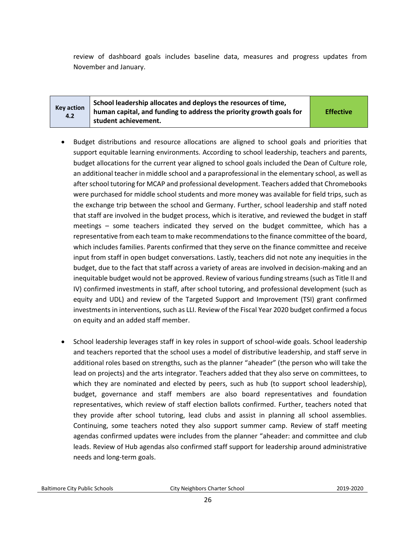review of dashboard goals includes baseline data, measures and progress updates from November and January.

#### **Key action 4.2 School leadership allocates and deploys the resources of time, human capital, and funding to address the priority growth goals for student achievement.**

**Effective**

- Budget distributions and resource allocations are aligned to school goals and priorities that support equitable learning environments. According to school leadership, teachers and parents, budget allocations for the current year aligned to school goals included the Dean of Culture role, an additional teacher in middle school and a paraprofessional in the elementary school, as well as after school tutoring for MCAP and professional development. Teachers added that Chromebooks were purchased for middle school students and more money was available for field trips, such as the exchange trip between the school and Germany. Further, school leadership and staff noted that staff are involved in the budget process, which is iterative, and reviewed the budget in staff meetings – some teachers indicated they served on the budget committee, which has a representative from each team to make recommendations to the finance committee of the board, which includes families. Parents confirmed that they serve on the finance committee and receive input from staff in open budget conversations. Lastly, teachers did not note any inequities in the budget, due to the fact that staff across a variety of areas are involved in decision-making and an inequitable budget would not be approved. Review of various funding streams (such as Title II and IV) confirmed investments in staff, after school tutoring, and professional development (such as equity and UDL) and review of the Targeted Support and Improvement (TSI) grant confirmed investments in interventions, such as LLI. Review of the Fiscal Year 2020 budget confirmed a focus on equity and an added staff member.
- School leadership leverages staff in key roles in support of school-wide goals. School leadership and teachers reported that the school uses a model of distributive leadership, and staff serve in additional roles based on strengths, such as the planner "aheader" (the person who will take the lead on projects) and the arts integrator. Teachers added that they also serve on committees, to which they are nominated and elected by peers, such as hub (to support school leadership), budget, governance and staff members are also board representatives and foundation representatives, which review of staff election ballots confirmed. Further, teachers noted that they provide after school tutoring, lead clubs and assist in planning all school assemblies. Continuing, some teachers noted they also support summer camp. Review of staff meeting agendas confirmed updates were includes from the planner "aheader: and committee and club leads. Review of Hub agendas also confirmed staff support for leadership around administrative needs and long-term goals.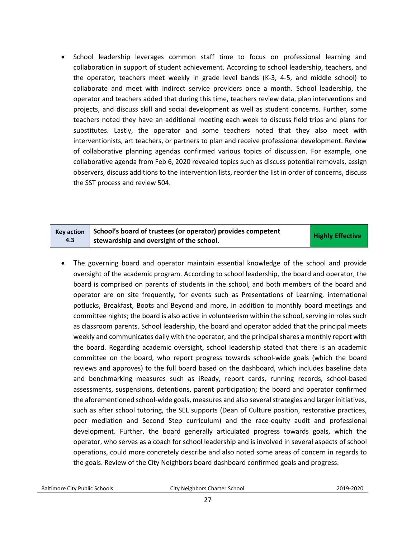• School leadership leverages common staff time to focus on professional learning and collaboration in support of student achievement. According to school leadership, teachers, and the operator, teachers meet weekly in grade level bands (K-3, 4-5, and middle school) to collaborate and meet with indirect service providers once a month. School leadership, the operator and teachers added that during this time, teachers review data, plan interventions and projects, and discuss skill and social development as well as student concerns. Further, some teachers noted they have an additional meeting each week to discuss field trips and plans for substitutes. Lastly, the operator and some teachers noted that they also meet with interventionists, art teachers, or partners to plan and receive professional development. Review of collaborative planning agendas confirmed various topics of discussion. For example, one collaborative agenda from Feb 6, 2020 revealed topics such as discuss potential removals, assign observers, discuss additions to the intervention lists, reorder the list in order of concerns, discuss the SST process and review 504.

| <b>Key action</b> | School's board of trustees (or operator) provides competent | <b>Highly Effective</b> |
|-------------------|-------------------------------------------------------------|-------------------------|
| 4.3               | stewardship and oversight of the school.                    |                         |

• The governing board and operator maintain essential knowledge of the school and provide oversight of the academic program. According to school leadership, the board and operator, the board is comprised on parents of students in the school, and both members of the board and operator are on site frequently, for events such as Presentations of Learning, international potlucks, Breakfast, Boots and Beyond and more, in addition to monthly board meetings and committee nights; the board is also active in volunteerism within the school, serving in roles such as classroom parents. School leadership, the board and operator added that the principal meets weekly and communicates daily with the operator, and the principal shares a monthly report with the board. Regarding academic oversight, school leadership stated that there is an academic committee on the board, who report progress towards school-wide goals (which the board reviews and approves) to the full board based on the dashboard, which includes baseline data and benchmarking measures such as iReady, report cards, running records, school-based assessments, suspensions, detentions, parent participation; the board and operator confirmed the aforementioned school-wide goals, measures and also several strategies and larger initiatives, such as after school tutoring, the SEL supports (Dean of Culture position, restorative practices, peer mediation and Second Step curriculum) and the race-equity audit and professional development. Further, the board generally articulated progress towards goals, which the operator, who serves as a coach for school leadership and is involved in several aspects of school operations, could more concretely describe and also noted some areas of concern in regards to the goals. Review of the City Neighbors board dashboard confirmed goals and progress.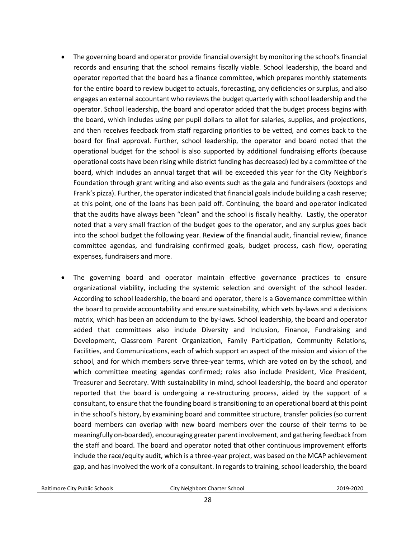- The governing board and operator provide financial oversight by monitoring the school's financial records and ensuring that the school remains fiscally viable. School leadership, the board and operator reported that the board has a finance committee, which prepares monthly statements for the entire board to review budget to actuals, forecasting, any deficiencies or surplus, and also engages an external accountant who reviews the budget quarterly with school leadership and the operator. School leadership, the board and operator added that the budget process begins with the board, which includes using per pupil dollars to allot for salaries, supplies, and projections, and then receives feedback from staff regarding priorities to be vetted, and comes back to the board for final approval. Further, school leadership, the operator and board noted that the operational budget for the school is also supported by additional fundraising efforts (because operational costs have been rising while district funding has decreased) led by a committee of the board, which includes an annual target that will be exceeded this year for the City Neighbor's Foundation through grant writing and also events such as the gala and fundraisers (boxtops and Frank's pizza). Further, the operator indicated that financial goals include building a cash reserve; at this point, one of the loans has been paid off. Continuing, the board and operator indicated that the audits have always been "clean" and the school is fiscally healthy. Lastly, the operator noted that a very small fraction of the budget goes to the operator, and any surplus goes back into the school budget the following year. Review of the financial audit, financial review, finance committee agendas, and fundraising confirmed goals, budget process, cash flow, operating expenses, fundraisers and more.
- The governing board and operator maintain effective governance practices to ensure organizational viability, including the systemic selection and oversight of the school leader. According to school leadership, the board and operator, there is a Governance committee within the board to provide accountability and ensure sustainability, which vets by-laws and a decisions matrix, which has been an addendum to the by-laws. School leadership, the board and operator added that committees also include Diversity and Inclusion, Finance, Fundraising and Development, Classroom Parent Organization, Family Participation, Community Relations, Facilities, and Communications, each of which support an aspect of the mission and vision of the school, and for which members serve three-year terms, which are voted on by the school, and which committee meeting agendas confirmed; roles also include President, Vice President, Treasurer and Secretary. With sustainability in mind, school leadership, the board and operator reported that the board is undergoing a re-structuring process, aided by the support of a consultant, to ensure that the founding board is transitioning to an operational board at this point in the school's history, by examining board and committee structure, transfer policies (so current board members can overlap with new board members over the course of their terms to be meaningfully on-boarded), encouraging greater parent involvement, and gathering feedback from the staff and board. The board and operator noted that other continuous improvement efforts include the race/equity audit, which is a three-year project, was based on the MCAP achievement gap, and has involved the work of a consultant. In regards to training, school leadership, the board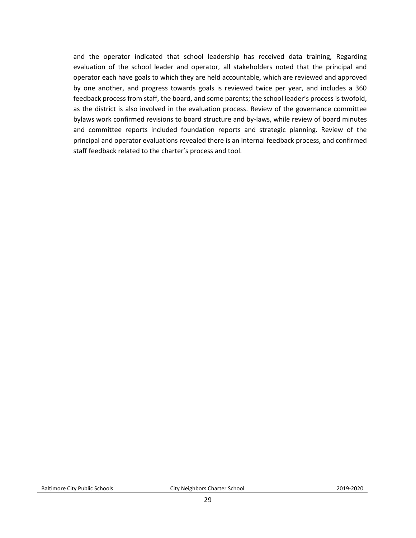and the operator indicated that school leadership has received data training, Regarding evaluation of the school leader and operator, all stakeholders noted that the principal and operator each have goals to which they are held accountable, which are reviewed and approved by one another, and progress towards goals is reviewed twice per year, and includes a 360 feedback process from staff, the board, and some parents; the school leader's process is twofold, as the district is also involved in the evaluation process. Review of the governance committee bylaws work confirmed revisions to board structure and by-laws, while review of board minutes and committee reports included foundation reports and strategic planning. Review of the principal and operator evaluations revealed there is an internal feedback process, and confirmed staff feedback related to the charter's process and tool.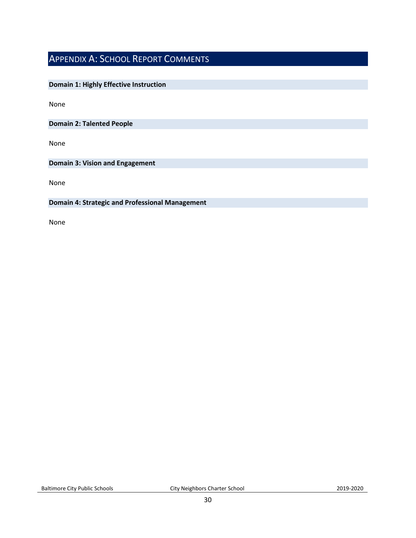## <span id="page-29-0"></span>APPENDIX A: SCHOOL REPORT COMMENTS

#### **Domain 1: Highly Effective Instruction**

None

**Domain 2: Talented People**

None

**Domain 3: Vision and Engagement**

None

#### **Domain 4: Strategic and Professional Management**

None